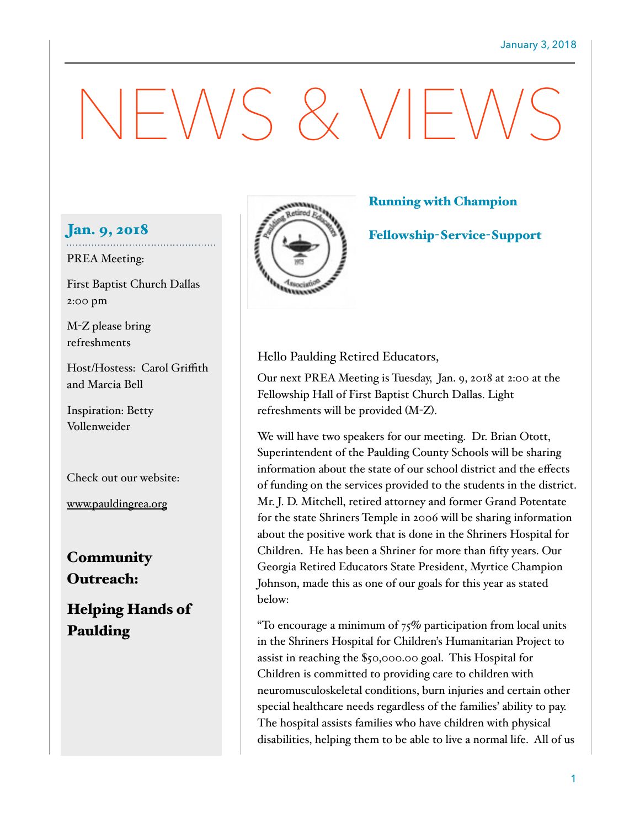# NEWS & VIEWS

## Jan. 9, 2018

#### PREA Meeting:

First Baptist Church Dallas 2:00 pm

M-Z please bring refreshments

Host/Hostess: Carol Griffith and Marcia Bell

Inspiration: Betty Vollenweider

Check out our website:

[www.pauldingrea.org](http://www.pauldingrea.org)

**Community** Outreach:

Helping Hands of Paulding



### Running with Champion

Fellowship-Service-Support

Hello Paulding Retired Educators,

Our next PREA Meeting is Tuesday, Jan. 9, 2018 at 2:00 at the Fellowship Hall of First Baptist Church Dallas. Light refreshments will be provided (M-Z).

We will have two speakers for our meeting. Dr. Brian Otott, Superintendent of the Paulding County Schools will be sharing information about the state of our school district and the effects of funding on the services provided to the students in the district. Mr. J. D. Mitchell, retired attorney and former Grand Potentate for the state Shriners Temple in 2006 will be sharing information about the positive work that is done in the Shriners Hospital for Children. He has been a Shriner for more than fifty years. Our Georgia Retired Educators State President, Myrtice Champion Johnson, made this as one of our goals for this year as stated below:

"To encourage a minimum of  $75\%$  participation from local units in the Shriners Hospital for Children's Humanitarian Project to assist in reaching the \$50,000.00 goal. This Hospital for Children is committed to providing care to children with neuromusculoskeletal conditions, burn injuries and certain other special healthcare needs regardless of the families' ability to pay. The hospital assists families who have children with physical disabilities, helping them to be able to live a normal life. All of us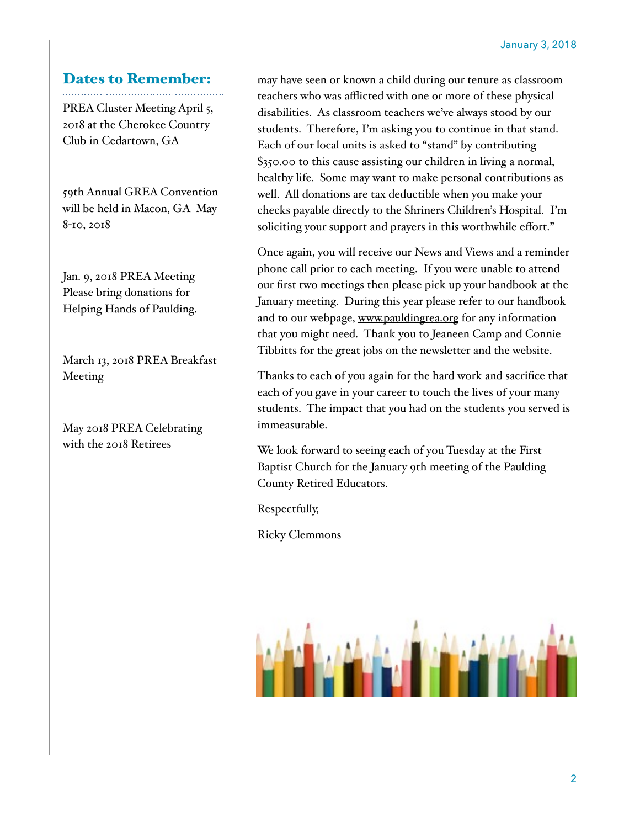# Dates to Remember:

PREA Cluster Meeting April 5, 2018 at the Cherokee Country Club in Cedartown, GA

59th Annual GREA Convention will be held in Macon, GA May 8-10, 2018

Jan. 9, 2018 PREA Meeting Please bring donations for Helping Hands of Paulding.

March 13, 2018 PREA Breakfast Meeting

May 2018 PREA Celebrating with the 2018 Retirees

may have seen or known a child during our tenure as classroom teachers who was afflicted with one or more of these physical disabilities. As classroom teachers we've always stood by our students. Therefore, I'm asking you to continue in that stand. Each of our local units is asked to "stand" by contributing \$350.00 to this cause assisting our children in living a normal, healthy life. Some may want to make personal contributions as well. All donations are tax deductible when you make your checks payable directly to the Shriners Children's Hospital. I'm soliciting your support and prayers in this worthwhile effort."

Once again, you will receive our News and Views and a reminder phone call prior to each meeting. If you were unable to attend our first two meetings then please pick up your handbook at the January meeting. During this year please refer to our handbook and to our webpage, [www.pauldingrea.org](http://www.pauldingrea.org) for any information that you might need. Thank you to Jeaneen Camp and Connie Tibbitts for the great jobs on the newsletter and the website.

Thanks to each of you again for the hard work and sacrifice that each of you gave in your career to touch the lives of your many students. The impact that you had on the students you served is immeasurable.

We look forward to seeing each of you Tuesday at the First Baptist Church for the January 9th meeting of the Paulding County Retired Educators.

Respectfully,

Ricky Clemmons